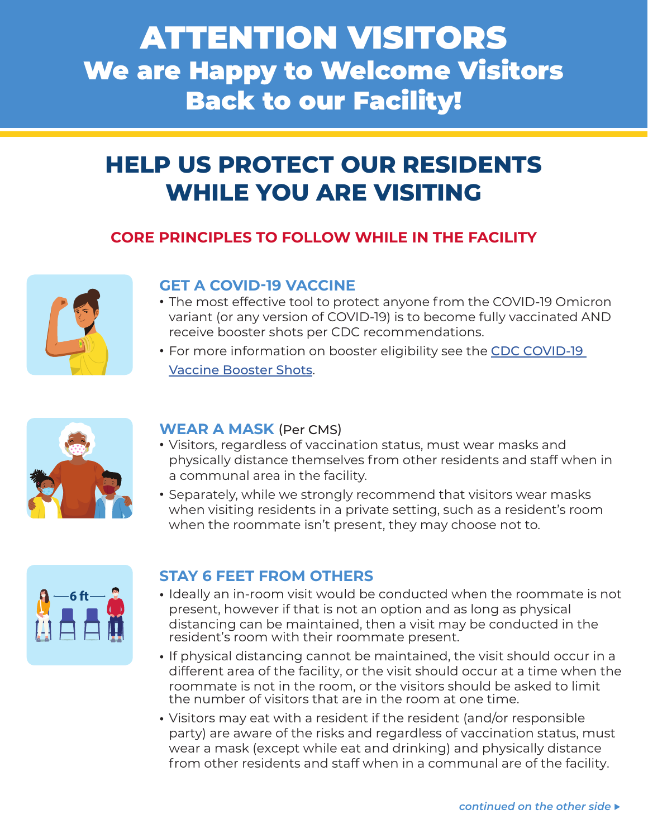# ATTENTION VISITORS We are Happy to Welcome Visitors Back to our Facility!

# **HELP US PROTECT OUR RESIDENTS WHILE YOU ARE VISITING**

# **CORE PRINCIPLES TO FOLLOW WHILE IN THE FACILITY**



#### **GET A COVID-19 VACCINE**

- **•** The most effective tool to protect anyone from the COVID-19 Omicron variant (or any version of COVID-19) is to become fully vaccinated AND receive booster shots per CDC recommendations.
- **•** For more information on booster eligibility see the [CDC COVID-19](https://www.cdc.gov/coronavirus/2019-ncov/vaccines/booster-shot.html?s_cid=11737:cdc%20covid%20booster%20shot%20guidelines:sem.ga:p:RG:GM:gen:PTN:FY22) [Vaccine Booster Shots](https://www.cdc.gov/coronavirus/2019-ncov/vaccines/booster-shot.html?s_cid=11737:cdc%20covid%20booster%20shot%20guidelines:sem.ga:p:RG:GM:gen:PTN:FY22).



#### **WEAR A MASK** (Per CMS)

- **•** Visitors, regardless of vaccination status, must wear masks and physically distance themselves from other residents and staff when in a communal area in the facility.
- **•** Separately, while we strongly recommend that visitors wear masks when visiting residents in a private setting, such as a resident's room when the roommate isn't present, they may choose not to.



#### **STAY 6 FEET FROM OTHERS**

- **•** Ideally an in-room visit would be conducted when the roommate is not present, however if that is not an option and as long as physical distancing can be maintained, then a visit may be conducted in the resident's room with their roommate present.
- **•** If physical distancing cannot be maintained, the visit should occur in a different area of the facility, or the visit should occur at a time when the roommate is not in the room, or the visitors should be asked to limit the number of visitors that are in the room at one time.
- **•** Visitors may eat with a resident if the resident (and/or responsible party) are aware of the risks and regardless of vaccination status, must wear a mask (except while eat and drinking) and physically distance from other residents and staff when in a communal are of the facility.